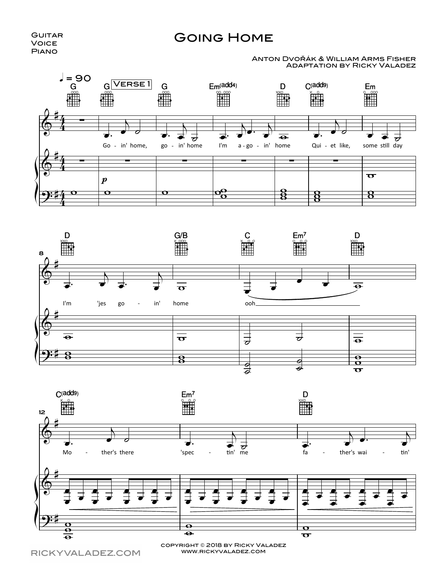## **GUITAR** Voice Piano

## Going Home

## Adaptation by Ricky Valadez Anton Dvořák & William Arms Fisher







RICKYVALADEZ.COM

www.rickyvaladez.com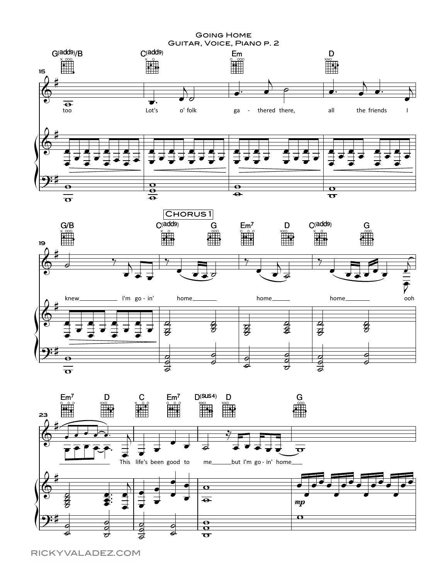





RICKYVALADEZ.COM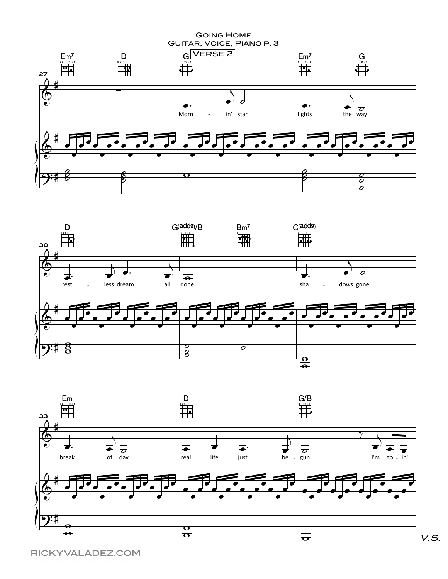**GOING HOME** GUITAR, VOICE, PIANO P. 3





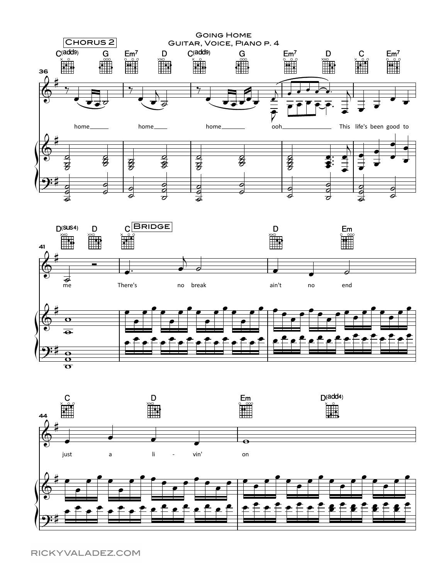

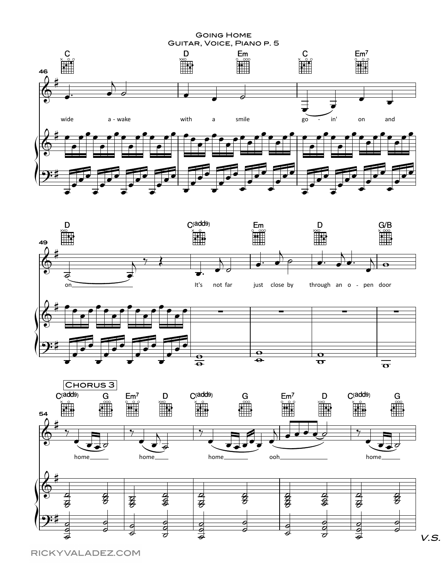**GOING HOME** 







é

6

7

Z

ਡ

0

⋥

 $\epsilon$ 

V.S.

RICKYVALADEZ.COM

⋝

ŕ.

F.

 $\overline{\bullet}$ 

 $\frac{\partial}{\partial}$ 

τ

<u>ट</u><br>०

ತ